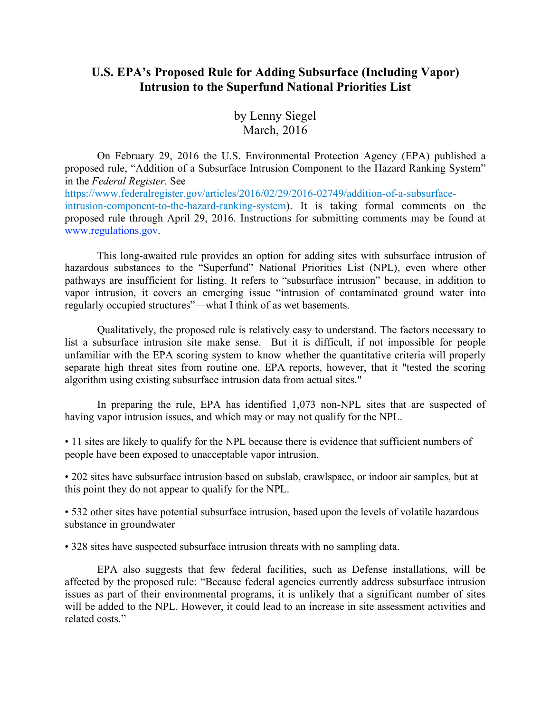## **U.S. EPA's Proposed Rule for Adding Subsurface (Including Vapor) Intrusion to the Superfund National Priorities List**

by Lenny Siegel March, 2016

On February 29, 2016 the U.S. Environmental Protection Agency (EPA) published a proposed rule, "Addition of a Subsurface Intrusion Component to the Hazard Ranking System" in the *Federal Register*. See https://www.federalregister.gov/articles/2016/02/29/2016-02749/addition-of-a-subsurfaceintrusion-component-to-the-hazard-ranking-system). It is taking formal comments on the proposed rule through April 29, 2016. Instructions for submitting comments may be found at www.regulations.gov.

This long-awaited rule provides an option for adding sites with subsurface intrusion of hazardous substances to the "Superfund" National Priorities List (NPL), even where other pathways are insufficient for listing. It refers to "subsurface intrusion" because, in addition to vapor intrusion, it covers an emerging issue "intrusion of contaminated ground water into regularly occupied structures"—what I think of as wet basements.

Qualitatively, the proposed rule is relatively easy to understand. The factors necessary to list a subsurface intrusion site make sense. But it is difficult, if not impossible for people unfamiliar with the EPA scoring system to know whether the quantitative criteria will properly separate high threat sites from routine one. EPA reports, however, that it "tested the scoring algorithm using existing subsurface intrusion data from actual sites."

In preparing the rule, EPA has identified 1,073 non-NPL sites that are suspected of having vapor intrusion issues, and which may or may not qualify for the NPL.

• 11 sites are likely to qualify for the NPL because there is evidence that sufficient numbers of people have been exposed to unacceptable vapor intrusion.

• 202 sites have subsurface intrusion based on subslab, crawlspace, or indoor air samples, but at this point they do not appear to qualify for the NPL.

• 532 other sites have potential subsurface intrusion, based upon the levels of volatile hazardous substance in groundwater

• 328 sites have suspected subsurface intrusion threats with no sampling data.

EPA also suggests that few federal facilities, such as Defense installations, will be affected by the proposed rule: "Because federal agencies currently address subsurface intrusion issues as part of their environmental programs, it is unlikely that a significant number of sites will be added to the NPL. However, it could lead to an increase in site assessment activities and related costs"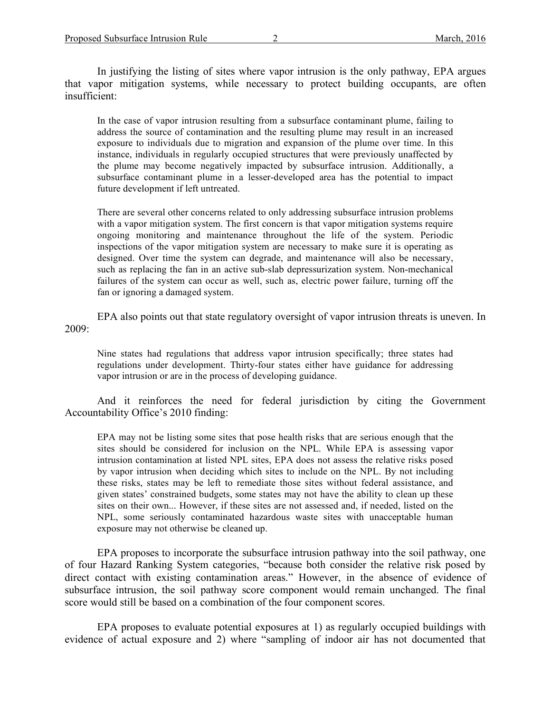In justifying the listing of sites where vapor intrusion is the only pathway, EPA argues that vapor mitigation systems, while necessary to protect building occupants, are often insufficient:

In the case of vapor intrusion resulting from a subsurface contaminant plume, failing to address the source of contamination and the resulting plume may result in an increased exposure to individuals due to migration and expansion of the plume over time. In this instance, individuals in regularly occupied structures that were previously unaffected by the plume may become negatively impacted by subsurface intrusion. Additionally, a subsurface contaminant plume in a lesser-developed area has the potential to impact future development if left untreated.

There are several other concerns related to only addressing subsurface intrusion problems with a vapor mitigation system. The first concern is that vapor mitigation systems require ongoing monitoring and maintenance throughout the life of the system. Periodic inspections of the vapor mitigation system are necessary to make sure it is operating as designed. Over time the system can degrade, and maintenance will also be necessary, such as replacing the fan in an active sub-slab depressurization system. Non-mechanical failures of the system can occur as well, such as, electric power failure, turning off the fan or ignoring a damaged system.

EPA also points out that state regulatory oversight of vapor intrusion threats is uneven. In 2009:

Nine states had regulations that address vapor intrusion specifically; three states had regulations under development. Thirty-four states either have guidance for addressing vapor intrusion or are in the process of developing guidance.

And it reinforces the need for federal jurisdiction by citing the Government Accountability Office's 2010 finding:

EPA may not be listing some sites that pose health risks that are serious enough that the sites should be considered for inclusion on the NPL. While EPA is assessing vapor intrusion contamination at listed NPL sites, EPA does not assess the relative risks posed by vapor intrusion when deciding which sites to include on the NPL. By not including these risks, states may be left to remediate those sites without federal assistance, and given states' constrained budgets, some states may not have the ability to clean up these sites on their own... However, if these sites are not assessed and, if needed, listed on the NPL, some seriously contaminated hazardous waste sites with unacceptable human exposure may not otherwise be cleaned up.

EPA proposes to incorporate the subsurface intrusion pathway into the soil pathway, one of four Hazard Ranking System categories, "because both consider the relative risk posed by direct contact with existing contamination areas." However, in the absence of evidence of subsurface intrusion, the soil pathway score component would remain unchanged. The final score would still be based on a combination of the four component scores.

EPA proposes to evaluate potential exposures at 1) as regularly occupied buildings with evidence of actual exposure and 2) where "sampling of indoor air has not documented that